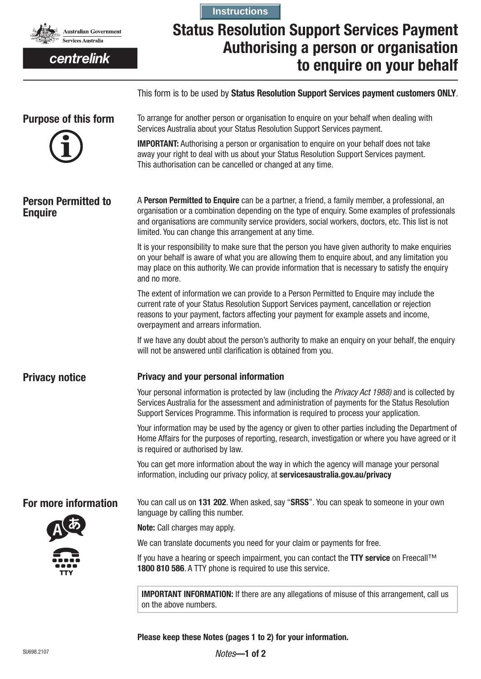

centrelink

# **Status Resolution Support Services Payment Authorising a person or organisation to enquire on your behalf Instructions**

This form is to be used by **Status Resolution Support Services payment customers ONLY**.

| <b>Purpose of this form</b>                  | To arrange for another person or organisation to enquire on your behalf when dealing with<br>Services Australia about your Status Resolution Support Services payment.<br><b>IMPORTANT:</b> Authorising a person or organisation to enquire on your behalf does not take<br>away your right to deal with us about your Status Resolution Support Services payment.<br>This authorisation can be cancelled or changed at any time. |  |  |  |  |  |
|----------------------------------------------|-----------------------------------------------------------------------------------------------------------------------------------------------------------------------------------------------------------------------------------------------------------------------------------------------------------------------------------------------------------------------------------------------------------------------------------|--|--|--|--|--|
| <b>Person Permitted to</b><br><b>Enquire</b> | A Person Permitted to Enquire can be a partner, a friend, a family member, a professional, an<br>organisation or a combination depending on the type of enquiry. Some examples of professionals<br>and organisations are community service providers, social workers, doctors, etc. This list is not<br>limited. You can change this arrangement at any time.                                                                     |  |  |  |  |  |
|                                              | It is your responsibility to make sure that the person you have given authority to make enquiries<br>on your behalf is aware of what you are allowing them to enquire about, and any limitation you<br>may place on this authority. We can provide information that is necessary to satisfy the enquiry<br>and no more.                                                                                                           |  |  |  |  |  |
|                                              | The extent of information we can provide to a Person Permitted to Enquire may include the<br>current rate of your Status Resolution Support Services payment, cancellation or rejection<br>reasons to your payment, factors affecting your payment for example assets and income,<br>overpayment and arrears information.                                                                                                         |  |  |  |  |  |
|                                              | If we have any doubt about the person's authority to make an enquiry on your behalf, the enquiry<br>will not be answered until clarification is obtained from you.                                                                                                                                                                                                                                                                |  |  |  |  |  |
| <b>Privacy notice</b>                        | Privacy and your personal information                                                                                                                                                                                                                                                                                                                                                                                             |  |  |  |  |  |
|                                              | Your personal information is protected by law (including the Privacy Act 1988) and is collected by<br>Services Australia for the assessment and administration of payments for the Status Resolution<br>Support Services Programme. This information is required to process your application.                                                                                                                                     |  |  |  |  |  |
|                                              | Your information may be used by the agency or given to other parties including the Department of<br>Home Affairs for the purposes of reporting, research, investigation or where you have agreed or it<br>is required or authorised by law.                                                                                                                                                                                       |  |  |  |  |  |
|                                              | You can get more information about the way in which the agency will manage your personal<br>information, including our privacy policy, at servicesaustralia.gov.au/privacy                                                                                                                                                                                                                                                        |  |  |  |  |  |
| For more information                         | You can call us on 131 202. When asked, say "SRSS". You can speak to someone in your own<br>language by calling this number.                                                                                                                                                                                                                                                                                                      |  |  |  |  |  |
|                                              | <b>Note:</b> Call charges may apply.                                                                                                                                                                                                                                                                                                                                                                                              |  |  |  |  |  |
|                                              | We can translate documents you need for your claim or payments for free.                                                                                                                                                                                                                                                                                                                                                          |  |  |  |  |  |
|                                              | If you have a hearing or speech impairment, you can contact the TTY service on Freecall™<br>1800 810 586. A TTY phone is required to use this service.                                                                                                                                                                                                                                                                            |  |  |  |  |  |
|                                              | <b>IMPORTANT INFORMATION:</b> If there are any allegations of misuse of this arrangement, call us<br>on the above numbers.                                                                                                                                                                                                                                                                                                        |  |  |  |  |  |

**Please keep these Notes (pages 1 to 2) for your information.**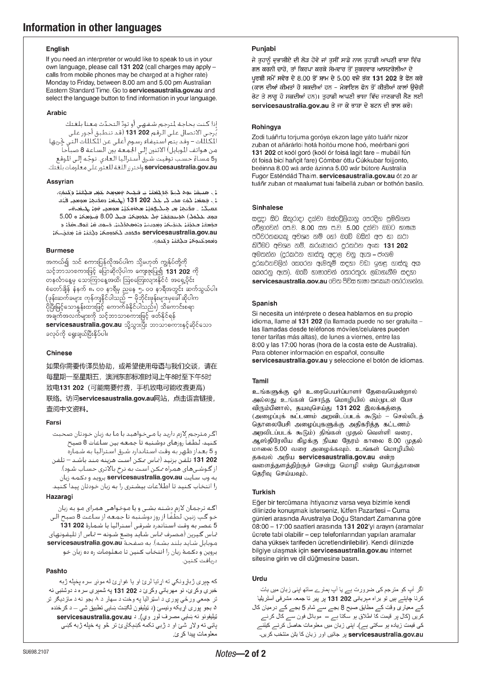### **English**

If you need an interpreter or would like to speak to us in your own language, please call 131 202 (call charges may apply calls from mobile phones may be charged at a higher rate) Monday to Friday, between 8.00 am and 5.00 pm Australian Eastern Standard Time. Go to servicesaustralia.gov.au and select the language button to find information in your language.

## **Arabic**

إذا كنت بحاجة لمترجم شفهي أو تودّ المحدّث معنا بلغتك<br>بُرجى الانصال على الرقم 202 131 (قد تنطبق أجور على<br>الكللات – وقد بنم استيفاء رسوم أعلى عن الكللات التي خَربها<br>من هواتف الوبايل) الاثنين إلى الجمعة بين الساعة 8 صباحاً<br>و servicesaustralia.gov.au واخترزر اللغة للعثور على معلومات بلغتك.

## Assyrian

نِيَ مَسِقَةٍ عَمِمَ كَمِعَ مُدَيْقَتَةٍ بِ فَكِنِمَ وَمَرِهِمْ لِكِفِي فَكِتَبَةٍ وَيُسَمَىَ لَىٰ جَهِعَۃٍ كَمْءٍ مَحْدٍ كِنْ جَكَ 202 131 (الْجَنْعَۃِ مَعْدَيْهُمْ مَمِعْدِ الْأَيْتَ عقبكداء فقدها من هنكنهميا محزمتين مومحي فها بكبغناقت حمد عكمكا موسطفة فكالكموجمة حبك 8.00 شدهمة ه 5.00 التؤمض لتحدِّث المنجَّلة، ومُحمِّد ودَمَعهكُمْهُ. فَسَمَّد قَلْ هُوَفٍ رَقَقَدُ وَا i مَدْمَة مُتَقْبَة مُعَنَّمَة servicesaustralia.gov.au وقعودكتوها فلأفئا وكتفى

## **Rurmese**

အကယ်၍ သင် စကားပြန်လိုအပ်ပါက သို့မဟုတ် ကျွန်ုပ်တို့ကို သင့်ဘာသာစကားဖြင့် ပြောဆိုလိုပါက ကျေးဇူးပြု၍ 131 202 ကို တနင်္လာနေ့မှ သောကြာနေ့အထိ၊ ဩစတြေးလျားနိုင်ငံ အရှေ့ပိုင်း .<br>ပိုပြီးမြင့်သောနူန်းထားဖြင့် ကောက်ခံနိုင်ပါသည်။) သိကောင်းစရာ servicesaustralia.gov.au သို့သွားပြီး ဘာသာစကားနှင့်ဆိုင်သော ခလုပ်ကို ရွေးချယ်ပြီးနိုပ်ပါ။

# **Chinese**

如果你需要传译员协助, 或希望使用母语与我们交谈, 请在 每星期一至星期五, 澳洲东部标准时间上午8时至下午5时 致电131 202 (可能需要付费,手机致电可能收费更高) 联络。访问servicesaustralia.gov.au网站, 点击语言链接, 查阅中文资料。

# Eorei

اگر مترجم لازم دارید یا میخواهید با ما به زبان خودتان صحبت كنيد، لَطْفاً روزهای دوشنبه تا جمعه بين ساعات 8 صبح و 5 بعـداز ظهـر به وقت اسـتاندارد شـرق اسـتراليـا بـه شـمـاره 202 131 تلفِّن بزنيد (مَاس مكن استَ هزينه مند باشد – تلفن از گـوشـی۱های همراه مـکـن اسـت به نرخ بالاتری حسـاب شـود). به وب سایت servicesaustralia.gov.au بروید و دکمه زبان را انتخاب کنید تا اطلاعات بیشتری را به زبان خودتان پیدا کنید.

# Hazaragi

اگـه ترجمان لازم دشـته بشـی و یا مـوخـواهـی هـمـرای مـو بـه زبان ر . . . . .<br>خو گپ زنین. لطفًا از روز دوشنبه تا جمعه از ساعت 8 صبح الی<br>5 عصر به وقت استاندرد شرقی استرالبا با شماره **131 131** تماس گیرین (مصرف تماس شاید وضع شـونه – تماس از تلیـفـونـهـای موبايل شايد بلند بشـه). به صفـحـهٔ servicesaustralia.gov.au بروین و دکمهٔ زبان را انتخاب کنین تا معلومات ره ده زبان خو دريافت كنين.

# Pashto

كه چبري ژباړونكى ته اړتيا لرئ او يا غواړئ له مونږ سره يخيله ژبه خبري وکړئ، نو مهرباني وکړئ د 131 202 و ه شمېري سره د دوشنبي نه تر جمعي ورځي پورې د اسټراليا په وخت د سهار د ۸ بجو نه د مازديکر تر ۵ بجو پورې اړیکه ونیسئ (د ټیلیفون لګست سایي تطبیق شي ــ د ګرخنده ټيليفونو نه ښايي مصرف لوړ وي). د servicesaustralia.gov.au پاڼې ته ولاړ شی او د ژبې تکمه کښېکاږئ تر څو په خپله ژبه کښی معلومات بيدا كر ئ.

# Puniabi

ਜੇ ਤੁਹਾਨੂੰ ਦੁਭਾਸ਼ੀਏ ਦੀ ਲੋੜ ਹੋਵੇ ਜਾਂ ਤੁਸੀਂ ਸਾਡੇ ਨਾਲ ਤੁਹਾਡੀ ਆਪਣੀ ਭਾਸ਼ਾ ਵਿੱਚ ਗਲ ਕਰਨੀ ਚਾਹੋ. ਤਾਂ ਕਿਰਪਾ ਕਰਕੇ ਸੋਮਵਾਰ ਤੋਂ ਸ਼ਕਰਵਾਰ ਆਸਟਰੇਲੀਆ ਦੇ ਪਰਬੀ ਸਮੇਂ ਸਵੇਰ ਦੇ 8.00 ਤੋਂ ਸ਼ਾਮ ਦੇ 5.00 ਵਜੇ ਤੱਕ 131 202 ਤੇ ਫੋਨ ਕਰੋ .<br>(ਕਾਲ ਦੀਆਂ ਕੀਮਤਾਂ ਹੋ ਸਕਦੀਆਂ ਹਨ - ਮੋਬਾਇਲ ਫੋਨ ਤੋਂ ਕੀਤੀਆਂ ਕਾਲਾਂ ੳਚੇਰੀ ਰੇਟ ਤੇ ਲਾਗੂ ਹੋ ਸਕਦੀਆਂ ਹਨ)। ਤੁਹਾਡੀ ਆਪਣੀ ਭਾਸ਼ਾ ਵਿੱਚ ਜਾਣਕਾਰੀ ਲੈਣ ਲਈ servicesaustralia.gov.au ਤੇ ਜਾ ਕੇ ਭਾਸ਼ਾ ਦੇ ਬਟਨ ਦੀ ਭਾਲ ਕਰੋ।

# Rohingya

Zodi tuáñrtu torjuma goróya ekzon lage yáto tuáñr nizor zuban ot añárárloi hotá hoitóu mone hoó, meérbani gorí 131 202 ot koól goró (koól ór foisá lagit fare - mubáil fún ót foisá bicí hañçit fare) Cómbar óttu Cúkkubar foijjonto, beéinna 8.00 wá arde ázinna 5.00 wár bútore Australía Fugor Esténdád Thaim. servicesaustralia.gov.au ót zo ar tuáñr zuban ot maalumat tuai faibellá zuban or bothón basílo.

## **Sinhalese**

සඳුදා සිට සිකුරාදා දක්වා ඔස්රේලියානු පෙරදිග පුම්තිගත වේලාවෙන් පෙ.ව. 8.00 සහ ප.ව. 5.00 දක්වා ඔබට භාෂණ පරිවර්තකයකු අවශය නම් ගෝ ඔබේ බසින් අප හා කථා කිරීමට අවශය නම්, කරුණාකර දුරකථන අංක 131 202 අමතන්න (දුරකථන ගාස්තු අදාල වනු ඇත – ජංගම 6කරෙනු ඇත). ඔබේ භාෂාවෙන් තොරතුරු ලබාගැනීම සඳහා servicesaustralia.gov.au මෙත පිවිස භාෂා සඳකණ තෝරාගන්න.

#### Spanish

Si necesita un intérprete o desea hablarnos en su propio idioma, llame al 131 202 (la llamada puede no ser gratuita las llamadas desde teléfonos móviles/celulares pueden tener tarifas más altas), de lunes a viernes, entre las 8:00 y las 17:00 horas (hora de la costa este de Australia). Para obtener información en español, consulte servicesaustralia.gov.au y seleccione el botón de idiomas.

### Tamil

உங்களுக்கு ஓர் உரைபெயர்ப்பாளர் தேவையென்றால் அல்லது உங்கள் சொந்த மொழியில் எம்முடன் பேச விரும்பினால், தயவுசெய்து 131 202 இலக்கத்தை (அழைப்புக் கட்டணம் அறவிடப்படக் கூடும் – செல்லிடத் தொலைபேசி அழைப்புகளுக்கு அதிகரித்த கட்டணம் அறவிடப்படக் கூடும்) திங்கள் முதல் வெள்ளி வரை, ஆஸ்திரேலிய கிழக்கு நியம நேரம் காலை 8.00 முதல் மாலை 5.00 வரை அழைக்கவும். உங்கள் மொழியில் தகவல் அறிய servicesaustralia.gov.au என்ற வளைத்தளத்திற்குச் சென்று மொழி என்ற பொத்தானை தெரிவு செய்யவும்.

### **Turkish**

Eğer bir tercümana ihtiyacınız varsa veya bizimle kendi dilinizde konuşmak isterseniz, lütfen Pazartesi - Cuma günleri arasında Avustralya Doğu Standart Zamanına göre 08:00 - 17:00 saatleri arasında 131 202'yi arayın (aramalar ücrete tabi olabilir - cep telefonlarından yapılan aramalar daha yüksek tarifeden ücretlendirilebilir). Kendi dilinizde bilgiye ulaşmak için servicesaustralia.gov.au internet sitesine girin ve dil düğmesine basın.

### Urdu

اگر آپ کو مترجم کی ضرورت ہے یا آپ ہمارے ساتھ اپنی زبان میں بات کرنا چاہتے ہیں تو براہ مہربانی 202 131 پر پیر تا جمعہ مشرقی آسٹریلیا کے معیاری وقت کے مطابق صبح 8 بجے سے شام 5 بجے کے درمیان کال ے کہ کا کہنا ہے کہ اس کے دورے کے دورے کے دورے کے دورے کے دورے کے دورے کے دورے کے دورے کے دورے کے دورے کے دورے<br>کریں (کال پر قیمت کا اطلاق ہو سکتا ہے – موبائل فون سے کال کرنے<br>کی قیمت زیادہ ہو سکتی ہے)۔ اپنی زبان میں معلوما servicesaustralia.gov.au پر جائیں اور زبان کا بتٰن منتخب کریں۔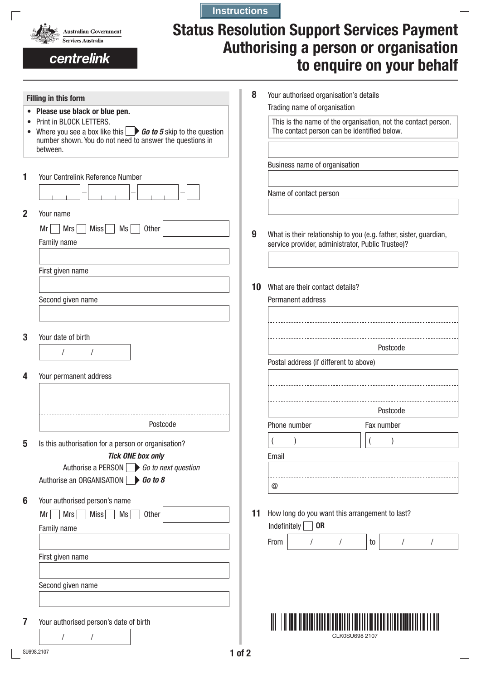

centrelink

 $\Gamma$ 

# **Status Resolution Support Services Payment Authorising a person or organisation to enquire on your behalf**

┓

| • Please use black or blue pen.                                                                                                                                                          |    |                                                   | Your authorised organisation's details                            |
|------------------------------------------------------------------------------------------------------------------------------------------------------------------------------------------|----|---------------------------------------------------|-------------------------------------------------------------------|
|                                                                                                                                                                                          |    | Trading name of organisation                      |                                                                   |
| Print in BLOCK LETTERS.<br>Where you see a box like this $\Box$ <b>Go to 5</b> skip to the question<br>$\bullet$<br>number shown. You do not need to answer the questions in<br>between. |    | The contact person can be identified below.       | This is the name of the organisation, not the contact person.     |
|                                                                                                                                                                                          |    | Business name of organisation                     |                                                                   |
| Your Centrelink Reference Number                                                                                                                                                         |    |                                                   |                                                                   |
|                                                                                                                                                                                          |    | Name of contact person                            |                                                                   |
| Your name                                                                                                                                                                                |    |                                                   |                                                                   |
| Mrs<br><b>Miss</b><br>Other<br>Mr<br>Ms                                                                                                                                                  | 9  |                                                   | What is their relationship to you (e.g. father, sister, guardian, |
| Family name                                                                                                                                                                              |    | service provider, administrator, Public Trustee)? |                                                                   |
| First given name                                                                                                                                                                         |    |                                                   |                                                                   |
|                                                                                                                                                                                          | 10 | What are their contact details?                   |                                                                   |
| Second given name                                                                                                                                                                        |    | Permanent address                                 |                                                                   |
|                                                                                                                                                                                          |    |                                                   |                                                                   |
| Your date of birth                                                                                                                                                                       |    |                                                   | Postcode                                                          |
|                                                                                                                                                                                          |    | Postal address (if different to above)            |                                                                   |
| Your permanent address                                                                                                                                                                   |    |                                                   |                                                                   |
|                                                                                                                                                                                          |    |                                                   |                                                                   |
|                                                                                                                                                                                          |    |                                                   | Postcode                                                          |
| Postcode                                                                                                                                                                                 |    | Phone number                                      | Fax number                                                        |
| Is this authorisation for a person or organisation?                                                                                                                                      |    | $\overline{\mathcal{L}}$                          |                                                                   |
| <b>Tick ONE box only</b>                                                                                                                                                                 |    | Email                                             |                                                                   |
| Authorise a PERSON $\Box$ Go to next question                                                                                                                                            |    |                                                   |                                                                   |
| Authorise an ORGANISATION 60 to 8                                                                                                                                                        |    | $^\copyright$                                     |                                                                   |
| Your authorised person's name                                                                                                                                                            |    |                                                   |                                                                   |
| Miss<br>Mrs<br>Mr<br>Ms<br>Other                                                                                                                                                         | 11 | How long do you want this arrangement to last?    |                                                                   |
| Family name                                                                                                                                                                              |    | Indefinitely<br><b>OR</b>                         |                                                                   |
|                                                                                                                                                                                          |    | From                                              | to<br>$\prime$                                                    |
| First given name                                                                                                                                                                         |    |                                                   |                                                                   |
| Second given name                                                                                                                                                                        |    |                                                   |                                                                   |
|                                                                                                                                                                                          |    |                                                   |                                                                   |
|                                                                                                                                                                                          |    |                                                   |                                                                   |
| Your authorised person's date of birth                                                                                                                                                   |    |                                                   |                                                                   |

**Instructions**